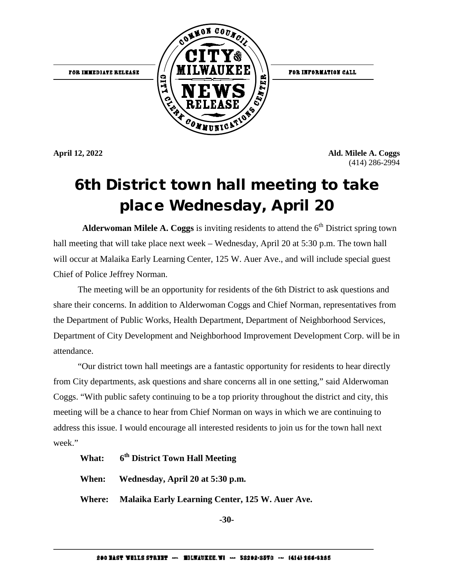FOR IMMEDIATE RELEASE



FOR INFORMATION CALL

**April 12, 2022 Ald. Milele A. Coggs**  (414) 286-2994

#### 6th District town hall meeting to take place Wednesday, April 20

**Alderwoman Milele A. Coggs** is inviting residents to attend the  $6<sup>th</sup>$  District spring town hall meeting that will take place next week – Wednesday, April 20 at 5:30 p.m. The town hall will occur at Malaika Early Learning Center, 125 W. Auer Ave., and will include special guest Chief of Police Jeffrey Norman.

The meeting will be an opportunity for residents of the 6th District to ask questions and share their concerns. In addition to Alderwoman Coggs and Chief Norman, representatives from the Department of Public Works, Health Department, Department of Neighborhood Services, Department of City Development and Neighborhood Improvement Development Corp. will be in attendance.

 "Our district town hall meetings are a fantastic opportunity for residents to hear directly from City departments, ask questions and share concerns all in one setting," said Alderwoman Coggs. "With public safety continuing to be a top priority throughout the district and city, this meeting will be a chance to hear from Chief Norman on ways in which we are continuing to address this issue. I would encourage all interested residents to join us for the town hall next week."

#### **What: 6th District Town Hall Meeting**

**When: Wednesday, April 20 at 5:30 p.m.**

**Where: Malaika Early Learning Center, 125 W. Auer Ave.**

**-30-**